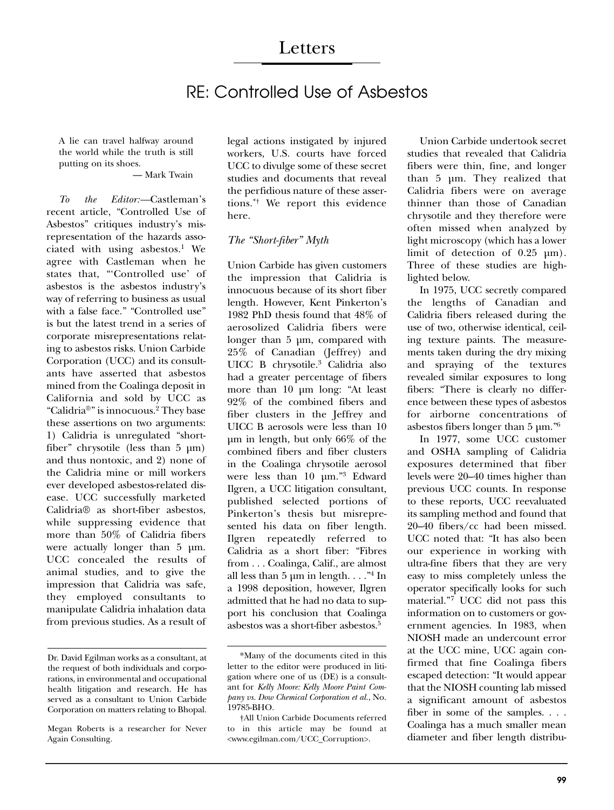# RE: Controlled Use of Asbestos

A lie can travel halfway around the world while the truth is still putting on its shoes.

#### — Mark Twain

*To the Editor:—*Castleman's recent article, "Controlled Use of Asbestos" critiques industry's misrepresentation of the hazards associated with using asbestos.<sup>1</sup> We agree with Castleman when he states that, "'Controlled use' of asbestos is the asbestos industry's way of referring to business as usual with a false face." "Controlled use" is but the latest trend in a series of corporate misrepresentations relating to asbestos risks. Union Carbide Corporation (UCC) and its consultants have asserted that asbestos mined from the Coalinga deposit in California and sold by UCC as "Calidria®" is innocuous.2 They base these assertions on two arguments: 1) Calidria is unregulated "shortfiber" chrysotile (less than 5 µm) and thus nontoxic, and 2) none of the Calidria mine or mill workers ever developed asbestos-related disease. UCC successfully marketed Calidria® as short-fiber asbestos, while suppressing evidence that more than 50% of Calidria fibers were actually longer than 5 µm. UCC concealed the results of animal studies, and to give the impression that Calidria was safe, they employed consultants to manipulate Calidria inhalation data from previous studies. As a result of legal actions instigated by injured workers, U.S. courts have forced UCC to divulge some of these secret studies and documents that reveal the perfidious nature of these assertions.\*† We report this evidence here.

## *The "Short-fiber" Myth*

Union Carbide has given customers the impression that Calidria is innocuous because of its short fiber length. However, Kent Pinkerton's 1982 PhD thesis found that 48% of aerosolized Calidria fibers were longer than 5 µm, compared with 25% of Canadian (Jeffrey) and UICC B chrysotile.3 Calidria also had a greater percentage of fibers more than 10 µm long: "At least 92% of the combined fibers and fiber clusters in the Jeffrey and UICC B aerosols were less than 10 µm in length, but only 66% of the combined fibers and fiber clusters in the Coalinga chrysotile aerosol were less than 10 µm."3 Edward Ilgren, a UCC litigation consultant, published selected portions of Pinkerton's thesis but misrepresented his data on fiber length. Ilgren repeatedly referred to Calidria as a short fiber: "Fibres from . . . Coalinga, Calif., are almost all less than  $5 \mu m$  in length..."<sup>4</sup> In a 1998 deposition, however, Ilgren admitted that he had no data to support his conclusion that Coalinga asbestos was a short-fiber asbestos.5

Union Carbide undertook secret studies that revealed that Calidria fibers were thin, fine, and longer than 5 µm. They realized that Calidria fibers were on average thinner than those of Canadian chrysotile and they therefore were often missed when analyzed by light microscopy (which has a lower limit of detection of 0.25 µm). Three of these studies are highlighted below.

In 1975, UCC secretly compared the lengths of Canadian and Calidria fibers released during the use of two, otherwise identical, ceiling texture paints. The measurements taken during the dry mixing and spraying of the textures revealed similar exposures to long fibers: "There is clearly no difference between these types of asbestos for airborne concentrations of asbestos fibers longer than  $5 \mu m.^{6}$ 

In 1977, some UCC customer and OSHA sampling of Calidria exposures determined that fiber levels were 20–40 times higher than previous UCC counts. In response to these reports, UCC reevaluated its sampling method and found that 20–40 fibers/cc had been missed. UCC noted that: "It has also been our experience in working with ultra-fine fibers that they are very easy to miss completely unless the operator specifically looks for such material."7 UCC did not pass this information on to customers or government agencies. In 1983, when NIOSH made an undercount error at the UCC mine, UCC again confirmed that fine Coalinga fibers escaped detection: "It would appear that the NIOSH counting lab missed a significant amount of asbestos fiber in some of the samples. . . . Coalinga has a much smaller mean diameter and fiber length distribu-

Dr. David Egilman works as a consultant, at the request of both individuals and corporations, in environmental and occupational health litigation and research. He has served as a consultant to Union Carbide Corporation on matters relating to Bhopal.

Megan Roberts is a researcher for Never Again Consulting.

<sup>\*</sup>Many of the documents cited in this letter to the editor were produced in litigation where one of us (DE) is a consultant for *Kelly Moore: Kelly Moore Paint Company vs. Dow Chemical Corporation et al.*, No. 19785-BHO.

<sup>†</sup>All Union Carbide Documents referred to in this article may be found at <www.egilman.com/UCC\_Corruption>.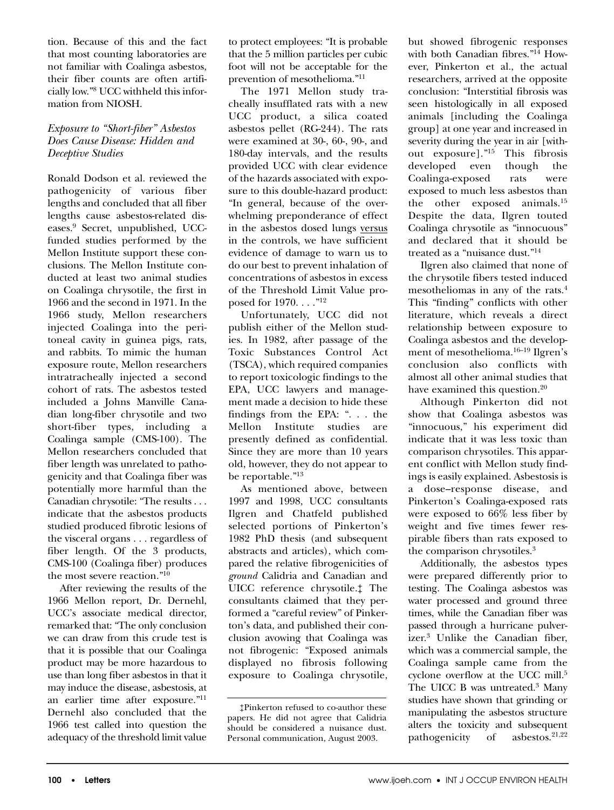tion. Because of this and the fact that most counting laboratories are not familiar with Coalinga asbestos, their fiber counts are often artificially low."8 UCC withheld this information from NIOSH.

## *Exposure to "Short-fiber" Asbestos Does Cause Disease: Hidden and Deceptive Studies*

Ronald Dodson et al. reviewed the pathogenicity of various fiber lengths and concluded that all fiber lengths cause asbestos-related diseases.9 Secret, unpublished, UCCfunded studies performed by the Mellon Institute support these conclusions. The Mellon Institute conducted at least two animal studies on Coalinga chrysotile, the first in 1966 and the second in 1971. In the 1966 study, Mellon researchers injected Coalinga into the peritoneal cavity in guinea pigs, rats, and rabbits. To mimic the human exposure route, Mellon researchers intratracheally injected a second cohort of rats. The asbestos tested included a Johns Manville Canadian long-fiber chrysotile and two short-fiber types, including a Coalinga sample (CMS-100). The Mellon researchers concluded that fiber length was unrelated to pathogenicity and that Coalinga fiber was potentially more harmful than the Canadian chrysotile: "The results . . . indicate that the asbestos products studied produced fibrotic lesions of the visceral organs . . . regardless of fiber length. Of the 3 products, CMS-100 (Coalinga fiber) produces the most severe reaction."10

After reviewing the results of the 1966 Mellon report, Dr. Dernehl, UCC's associate medical director, remarked that: "The only conclusion we can draw from this crude test is that it is possible that our Coalinga product may be more hazardous to use than long fiber asbestos in that it may induce the disease, asbestosis, at an earlier time after exposure."11 Dernehl also concluded that the 1966 test called into question the adequacy of the threshold limit value

to protect employees: "It is probable that the 5 million particles per cubic foot will not be acceptable for the prevention of mesothelioma."11

The 1971 Mellon study tracheally insufflated rats with a new UCC product, a silica coated asbestos pellet (RG-244). The rats were examined at 30-, 60-, 90-, and 180-day intervals, and the results provided UCC with clear evidence of the hazards associated with exposure to this double-hazard product: "In general, because of the overwhelming preponderance of effect in the asbestos dosed lungs versus in the controls, we have sufficient evidence of damage to warn us to do our best to prevent inhalation of concentrations of asbestos in excess of the Threshold Limit Value proposed for 1970. . . ."12

Unfortunately, UCC did not publish either of the Mellon studies. In 1982, after passage of the Toxic Substances Control Act (TSCA), which required companies to report toxicologic findings to the EPA, UCC lawyers and management made a decision to hide these findings from the EPA: ". . . the Mellon Institute studies are presently defined as confidential. Since they are more than 10 years old, however, they do not appear to be reportable."13

As mentioned above, between 1997 and 1998, UCC consultants Ilgren and Chatfeld published selected portions of Pinkerton's 1982 PhD thesis (and subsequent abstracts and articles), which compared the relative fibrogenicities of *ground* Calidria and Canadian and UICC reference chrysotile.‡ The consultants claimed that they performed a "careful review" of Pinkerton's data, and published their conclusion avowing that Coalinga was not fibrogenic: "Exposed animals displayed no fibrosis following exposure to Coalinga chrysotile,

but showed fibrogenic responses with both Canadian fibres."<sup>14</sup> However, Pinkerton et al., the actual researchers, arrived at the opposite conclusion: "Interstitial fibrosis was seen histologically in all exposed animals [including the Coalinga group] at one year and increased in severity during the year in air [without exposure]."<sup>15</sup> This fibrosis<br>developed even though the developed even though the Coalinga-exposed rats were exposed to much less asbestos than the other exposed animals.15 Despite the data, Ilgren touted Coalinga chrysotile as "innocuous" and declared that it should be treated as a "nuisance dust."14

Ilgren also claimed that none of the chrysotile fibers tested induced mesotheliomas in any of the rats.4 This "finding" conflicts with other literature, which reveals a direct relationship between exposure to Coalinga asbestos and the development of mesothelioma.16–19 Ilgren's conclusion also conflicts with almost all other animal studies that have examined this question.<sup>20</sup>

Although Pinkerton did not show that Coalinga asbestos was "innocuous," his experiment did indicate that it was less toxic than comparison chrysotiles. This apparent conflict with Mellon study findings is easily explained. Asbestosis is a dose–response disease, and Pinkerton's Coalinga-exposed rats were exposed to 66% less fiber by weight and five times fewer respirable fibers than rats exposed to the comparison chrysotiles.3

Additionally, the asbestos types were prepared differently prior to testing. The Coalinga asbestos was water processed and ground three times, while the Canadian fiber was passed through a hurricane pulverizer.3 Unlike the Canadian fiber, which was a commercial sample, the Coalinga sample came from the cyclone overflow at the UCC mill.5 The UICC B was untreated.<sup>3</sup> Many studies have shown that grinding or manipulating the asbestos structure alters the toxicity and subsequent<br>pathogenicity of asbestos. $2^{1,22}$ pathogenicity of

<sup>‡</sup>Pinkerton refused to co-author these papers. He did not agree that Calidria should be considered a nuisance dust. Personal communication, August 2003.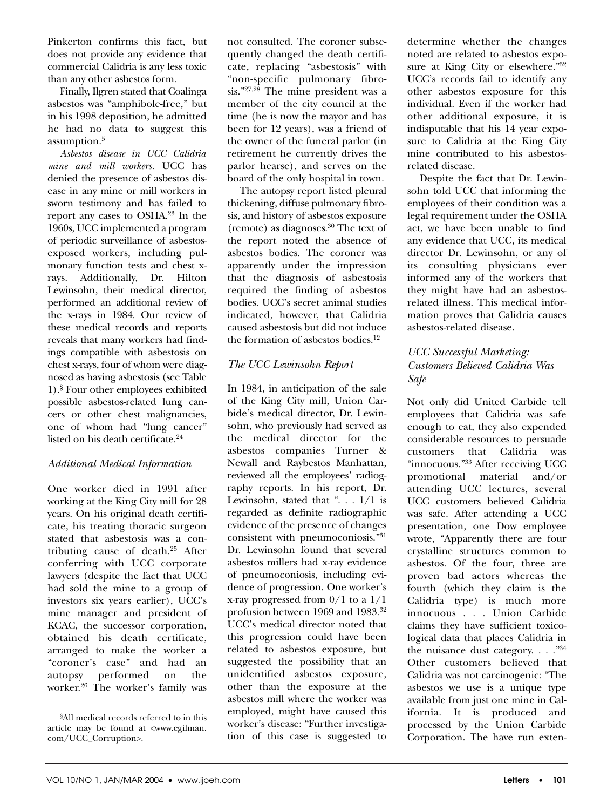Pinkerton confirms this fact, but does not provide any evidence that commercial Calidria is any less toxic than any other asbestos form.

Finally, Ilgren stated that Coalinga asbestos was "amphibole-free," but in his 1998 deposition, he admitted he had no data to suggest this assumption.5

*Asbestos disease in UCC Calidria mine and mill workers.* UCC has denied the presence of asbestos disease in any mine or mill workers in sworn testimony and has failed to report any cases to OSHA.23 In the 1960s, UCC implemented a program of periodic surveillance of asbestosexposed workers, including pulmonary function tests and chest xrays. Additionally, Dr. Hilton Lewinsohn, their medical director, performed an additional review of the x-rays in 1984. Our review of these medical records and reports reveals that many workers had findings compatible with asbestosis on chest x-rays, four of whom were diagnosed as having asbestosis (see Table 1).§ Four other employees exhibited possible asbestos-related lung cancers or other chest malignancies, one of whom had "lung cancer" listed on his death certificate.<sup>24</sup>

## *Additional Medical Information*

One worker died in 1991 after working at the King City mill for 28 years. On his original death certificate, his treating thoracic surgeon stated that asbestosis was a contributing cause of death.25 After conferring with UCC corporate lawyers (despite the fact that UCC had sold the mine to a group of investors six years earlier), UCC's mine manager and president of KCAC, the successor corporation, obtained his death certificate, arranged to make the worker a "coroner's case" and had an autopsy performed on the worker.26 The worker's family was not consulted. The coroner subsequently changed the death certificate, replacing "asbestosis" with "non-specific pulmonary fibrosis."27,28 The mine president was a member of the city council at the time (he is now the mayor and has been for 12 years), was a friend of the owner of the funeral parlor (in retirement he currently drives the parlor hearse), and serves on the board of the only hospital in town.

The autopsy report listed pleural thickening, diffuse pulmonary fibrosis, and history of asbestos exposure (remote) as diagnoses.30 The text of the report noted the absence of asbestos bodies. The coroner was apparently under the impression that the diagnosis of asbestosis required the finding of asbestos bodies. UCC's secret animal studies indicated, however, that Calidria caused asbestosis but did not induce the formation of asbestos bodies. $12$ 

## *The UCC Lewinsohn Report*

In 1984, in anticipation of the sale of the King City mill, Union Carbide's medical director, Dr. Lewinsohn, who previously had served as the medical director for the asbestos companies Turner & Newall and Raybestos Manhattan, reviewed all the employees' radiography reports. In his report, Dr. Lewinsohn, stated that " $\ldots$  1/1 is regarded as definite radiographic evidence of the presence of changes consistent with pneumoconiosis."31 Dr. Lewinsohn found that several asbestos millers had x-ray evidence of pneumoconiosis, including evidence of progression. One worker's x-ray progressed from 0/1 to a 1/1 profusion between 1969 and 1983.32 UCC's medical director noted that this progression could have been related to asbestos exposure, but suggested the possibility that an unidentified asbestos exposure, other than the exposure at the asbestos mill where the worker was employed, might have caused this worker's disease: "Further investigation of this case is suggested to

determine whether the changes noted are related to asbestos exposure at King City or elsewhere."<sup>32</sup> UCC's records fail to identify any other asbestos exposure for this individual. Even if the worker had other additional exposure, it is indisputable that his 14 year exposure to Calidria at the King City mine contributed to his asbestosrelated disease.

Despite the fact that Dr. Lewinsohn told UCC that informing the employees of their condition was a legal requirement under the OSHA act, we have been unable to find any evidence that UCC, its medical director Dr. Lewinsohn, or any of its consulting physicians ever informed any of the workers that they might have had an asbestosrelated illness. This medical information proves that Calidria causes asbestos-related disease.

## *UCC Successful Marketing: Customers Believed Calidria Was Safe*

Not only did United Carbide tell employees that Calidria was safe enough to eat, they also expended considerable resources to persuade customers that Calidria was "innocuous."33 After receiving UCC promotional material and/or attending UCC lectures, several UCC customers believed Calidria was safe. After attending a UCC presentation, one Dow employee wrote, "Apparently there are four crystalline structures common to asbestos. Of the four, three are proven bad actors whereas the fourth (which they claim is the Calidria type) is much more innocuous . . . Union Carbide claims they have sufficient toxicological data that places Calidria in the nuisance dust category.  $\ldots$ ."<sup>34</sup> Other customers believed that Calidria was not carcinogenic: "The asbestos we use is a unique type available from just one mine in California. It is produced and processed by the Union Carbide Corporation. The have run exten-

<sup>§</sup> All medical records referred to in this article may be found at <www.egilman. com/UCC\_Corruption>.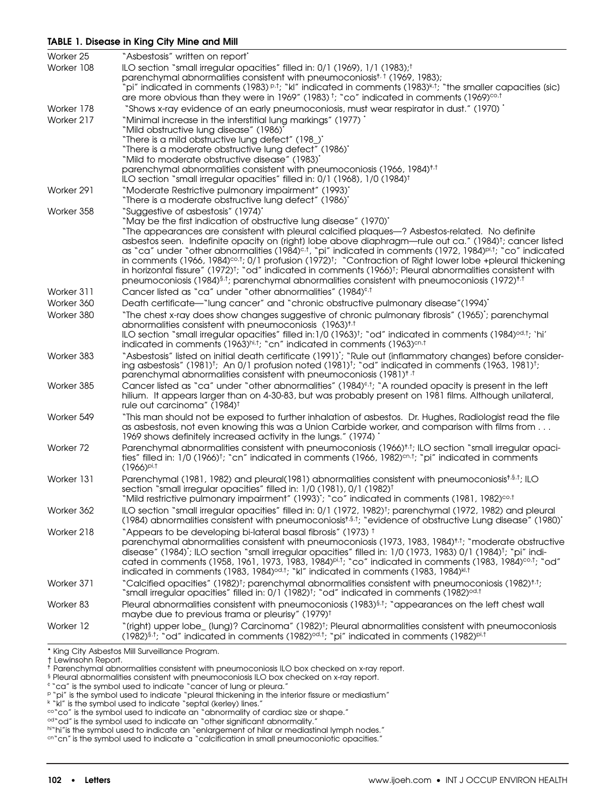## **TABLE 1. Disease in King City Mine and Mill**

| Worker 25  | "Asbestosis" written on report <sup>*</sup>                                                                                                                                                                                                                      |
|------------|------------------------------------------------------------------------------------------------------------------------------------------------------------------------------------------------------------------------------------------------------------------|
| Worker 108 | ILO section "small irregular opacities" filled in: 0/1 (1969), 1/1 (1983); <sup>†</sup>                                                                                                                                                                          |
|            | parenchymal abnormalities consistent with pneumoconiosist, t (1969, 1983);                                                                                                                                                                                       |
|            | $\hat{\phi}$ indicated in comments (1983) $\mathsf{P}^1$ ; "kl" indicated in comments (1983) $\mathsf{k}^1$ ; "the smaller capacities (sic) $\mathsf{S}$<br>are more obvious than they were in 1969" (1983) t; "co" indicated in comments (1969) <sup>co,t</sup> |
| Worker 178 | "Shows x-ray evidence of an early pneumoconiosis, must wear respirator in dust." (1970) "                                                                                                                                                                        |
| Worker 217 | "Minimal increase in the interstitial lung markings" (1977)"                                                                                                                                                                                                     |
|            | "Mild obstructive lung disease" (1986)"                                                                                                                                                                                                                          |
|            | "There is a mild obstructive lung defect" (198_)"                                                                                                                                                                                                                |
|            | "There is a moderate obstructive lung defect" (1986)"<br>"Mild to moderate obstructive disease" (1983)"                                                                                                                                                          |
|            | parenchymal abnormalities consistent with pneumoconiosis (1966, 1984) <sup>†,†</sup>                                                                                                                                                                             |
|            | ILO section "small irregular opacities" filled in: 0/1 (1968), 1/0 (1984) <sup>†</sup>                                                                                                                                                                           |
| Worker 291 | "Moderate Restrictive pulmonary impairment" (1993)"                                                                                                                                                                                                              |
|            | "There is a moderate obstructive lung defect" (1986)"                                                                                                                                                                                                            |
| Worker 358 | "Suggestive of asbestosis" (1974)"                                                                                                                                                                                                                               |
|            | "May be the first indication of obstructive lung disease" (1970)"<br>"The appearances are consistent with pleural calcified plaques-7 Asbestos-related. No definite                                                                                              |
|            | asbestos seen. Indefinite opacity on (right) lobe above diaphragm—rule out ca." (1984) <sup>t</sup> ; cancer listed                                                                                                                                              |
|            | as "ca" under "other abnormalities (1984) <sup>c.t</sup> , "pi" indicated in comments (1972, 1984) <sup>pi.t</sup> ; "co" indicated                                                                                                                              |
|            | in comments (1966, 1984) $cot$ ; 0/1 profusion (1972) <sup>†</sup> ; "Contraction of Right lower lobe +pleural thickening                                                                                                                                        |
|            | in horizontal fissure" (1972) <sup>†</sup> ; "od" indicated in comments (1966) <sup>†</sup> ; Pleural abnormalities consistent with                                                                                                                              |
| Worker 311 | pneumoconiosis (1984) <sup>§,†</sup> ; parenchymal abnormalities consistent with pneumoconiosis (1972) <sup>†,†</sup>                                                                                                                                            |
| Worker 360 | Cancer listed as "ca" under "other abnormalities" (1984) <sup>e,t</sup><br>Death certificate—"lung cancer" and "chronic obstructive pulmonary disease"(1994)"                                                                                                    |
| Worker 380 | "The chest x-ray does show changes suggestive of chronic pulmonary fibrosis" (1965); parenchymal                                                                                                                                                                 |
|            | abnormalities consistent with pneumoconiosis (1963) <sup>†,†</sup>                                                                                                                                                                                               |
|            | ILO section "small irregular opacities" filled in:1/0 (1963) <sup>†</sup> ; "od" indicated in comments (1984) <sup>od,†</sup> ; 'hi'                                                                                                                             |
|            | indicated in comments (1963)hi.t; "cn" indicated in comments (1963)cn.t                                                                                                                                                                                          |
| Worker 383 | "Asbestosis" listed on initial death certificate (1991) <sup>+</sup> ; "Rule out (inflammatory changes) before consider-                                                                                                                                         |
|            | ing asbestosis" (1981) <sup>†</sup> ; An 0/1 profusion noted (1981) <sup>†</sup> ; "od" indicated in comments (1963, 1981) <sup>†</sup> ;<br>parenchymal abnormalities consistent with pneumoconiosis (1981) <sup>† .†</sup>                                     |
| Worker 385 | Cancer listed as "ca" under "other abnormalities" (1984) <sup><math>\epsilon</math>, †</sup> , "A rounded opacity is present in the left                                                                                                                         |
|            | hilium. It appears larger than on 4-30-83, but was probably present on 1981 films. Although unilateral,                                                                                                                                                          |
|            | rule out carcinoma" (1984) <sup>†</sup>                                                                                                                                                                                                                          |
| Worker 549 | "This man should not be exposed to further inhalation of asbestos. Dr. Hughes, Radiologist read the file                                                                                                                                                         |
|            | as asbestosis, not even knowing this was a Union Carbide worker, and comparison with films from                                                                                                                                                                  |
|            | 1969 shows definitely increased activity in the lungs." (1974)                                                                                                                                                                                                   |
| Worker 72  | Parenchymal abnormalities consistent with pneumoconiosis (1966) <sup>†,†</sup> ; ILO section "small irregular opaci-<br>ties" filled in: 1/0 (1966) <sup>†</sup> ; "cn" indicated in comments (1966, 1982) <sup>cn,†</sup> ; "pi" indicated in comments          |
|            | $(1966)^{pi.†}$                                                                                                                                                                                                                                                  |
| Worker 131 | Parenchymal (1981, 1982) and pleural(1981) abnormalities consistent with pneumoconiosist §.t; ILO                                                                                                                                                                |
|            | section "small irregular opacities" filled in: 1/0 (1981), 0/1 (1982) <sup>†</sup>                                                                                                                                                                               |
|            | "Mild restrictive pulmonary impairment" (1993)'; "co" indicated in comments (1981, 1982) <sup>co.t</sup>                                                                                                                                                         |
| Worker 362 | ILO section "small irregular opacities" filled in: 0/1 (1972, 1982) <sup>†</sup> ; parenchymal (1972, 1982) and pleural                                                                                                                                          |
|            | (1984) abnormalities consistent with pneumoconiosist, s.t.; "evidence of obstructive Lung disease" (1980)"                                                                                                                                                       |
| Worker 218 | "Appears to be developing bi-lateral basal fibrosis" (1973) <sup>†</sup><br>parenchymal abnormalities consistent with pneumoconiosis (1973, 1983, 1984) <sup>†,†</sup> ; "moderate obstructive                                                                   |
|            | disease" (1984); ILO section "small irregular opacities" filled in: 1/0 (1973, 1983) 0/1 (1984) <sup>†</sup> ; "pi" indi-                                                                                                                                        |
|            | cated in comments (1958, 1961, 1973, 1983, 1984) <sup>pi,t</sup> ; "co" indicated in comments (1983, 1984) <sup>co,t</sup> ; "od"                                                                                                                                |
|            | indicated in comments (1983, 1984) <sup>od.t</sup> ; "kl" indicated in comments (1983, 1984) <sup>kl.t</sup>                                                                                                                                                     |
| Worker 371 | "Calcified opacities" (1982) <sup>†</sup> ; parenchymal abnormalities consistent with pneumoconiosis (1982) <sup>†,†</sup> ;<br>"small irregular opacities" filled in: 0/1 (1982) <sup>†</sup> ; "od" indicated in comments (1982) <sup>od,t</sup>               |
| Worker 83  | Pleural abnormalities consistent with pneumoconiosis (1983) <sup>§,t</sup> ; "appearances on the left chest wall                                                                                                                                                 |
|            | maybe due to previous trama or pleurisy" (1979) <sup>t</sup>                                                                                                                                                                                                     |
| Worker 12  | "(right) upper lobe_(lung)? Carcinoma" (1982) <sup>†</sup> ; Pleural abnormalities consistent with pneumoconiosis<br>$(1982)^{\$.1}$ ; "od" indicated in comments $(1982)^{od.1}$ ; "pi" indicated in comments $(1982)^{pi.1}$                                   |

\* King City Asbestos Mill Surveillance Program.

† Lewinsohn Report.

<sup>‡</sup> Parenchymal abnormalities consistent with pneumoconiosis ILO box checked on x-ray report.

<sup>§</sup> Pleural abnormalities consistent with pneumoconiosis ILO box checked on x-ray report.

 $\degree$  "ca" is the symbol used to indicate "cancer of lung or pleura."

 $^\text{p}$  "pi" is the symbol used to indicate "pleural thickening in the interior fissure or mediastium"

<sup>&</sup>lt;sup>k</sup> "kl" is the symbol used to indicate "septal (kerley) lines."

 $\circ\circ$ "co" is the symbol used to indicate an "abnormality of cardiac size or shape."

 $\rm ^{od}$  od" is the symbol used to indicate an "other significant abnormality."

hi"hi"is the symbol used to indicate an "enlargement of hilar or mediastinal lymph nodes."

cn"cn" is the symbol used to indicate a "calcification in small pneumoconiotic opacities."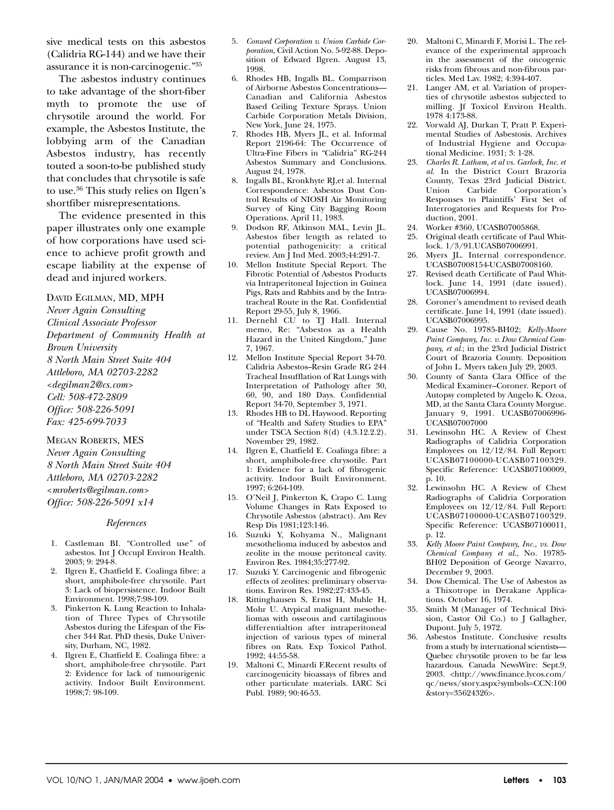sive medical tests on this asbestos (Calidria RG-144) and we have their assurance it is non-carcinogenic."35

The asbestos industry continues to take advantage of the short-fiber myth to promote the use of chrysotile around the world. For example, the Asbestos Institute, the lobbying arm of the Canadian Asbestos industry, has recently touted a soon-to-be published study that concludes that chrysotile is safe to use.36 This study relies on Ilgen's shortfiber misrepresentations.

The evidence presented in this paper illustrates only one example of how corporations have used science to achieve profit growth and escape liability at the expense of dead and injured workers.

DAVID EGILMAN, MD, MPH

*Never Again Consulting Clinical Associate Professor Department of Community Health at Brown University 8 North Main Street Suite 404 Attleboro, MA 02703-2282 <degilman2@cs.com> Cell: 508-472-2809 Office: 508-226-5091 Fax: 425-699-7033*

MEGAN ROBERTS, MES *Never Again Consulting 8 North Main Street Suite 404 Attleboro, MA 02703-2282 <mroberts@egilman.com> Office: 508-226-5091 x14*

#### *References*

- 1. Castleman BI. "Controlled use" of asbestos. Int J Occupl Environ Health. 2003; 9: 294-8.
- 2. Ilgren E, Chatfield E. Coalinga fibre: a short, amphibole-free chrysotile. Part 3: Lack of biopersistence. Indoor Built Environment. 1998;7:98-109.
- 3. Pinkerton K. Lung Reaction to Inhalation of Three Types of Chrysotile Asbestos during the Lifespan of the Fischer 344 Rat. PhD thesis, Duke University, Durham, NC, 1982.
- 4. Ilgren E, Chatfield E. Coalinga fibre: a short, amphibole-free chrysotile. Part 2: Evidence for lack of tumourigenic activity. Indoor Built Environment. 1998;7: 98-109.
- 5. *Conwed Corporation v. Union Carbide Corporation*, Civil Action No. 5-92-88. Deposition of Edward Ilgren. August 13, 1998.
- 6. Rhodes HB, Ingalls BL. Comparrison of Airborne Asbestos Concentrations— Canadian and California Asbestos Based Ceiling Texture Sprays. Union Carbide Corporation Metals Division, New York, June 24, 1975.
- 7. Rhodes HB, Myers JL, et al. Informal Report 2196-64: The Occurrence of Ultra-Fine Fibers in "Calidria" RG-244 Asbestos Summary and Conclusions. August 24, 1978.
- 8. Ingalls BL, Kronkhyte RJ,et al. Internal Correspondence: Asbestos Dust Control Results of NIOSH Air Monitoring Survey of King City Bagging Room Operations. April 11, 1983.
- 9. Dodson RF, Atkinson MAL, Levin JL. Asbestos fiber length as related to potential pathogenicity: a critical review. Am J Ind Med. 2003;44:291-7.
- 10. Mellon Institute Special Report. The Fibrotic Potential of Asbestos Products via Intraperitoneal Injection in Guinea Pigs, Rats and Rabbits and by the Intratracheal Route in the Rat. Confidential Report 29-55, July 8, 1966.
- 11. Dernehl CU to TJ Hall. Internal memo, Re: "Asbestos as a Health Hazard in the United Kingdom," June 7, 1967.
- 12. Mellon Institute Special Report 34-70. Calidria Asbestos–Resin Grade RG 244 Tracheal Insufflation of Rat Lungs with Interpretation of Pathology after 30, 60, 90, and 180 Days. Confidential Report 34-70, September 3, 1971.
- 13. Rhodes HB to DL Haywood. Reporting of "Health and Safety Studies to EPA" under TSCA Section 8(d) (4.3.12.2.2). November 29, 1982.
- 14. Ilgren E, Chatfield E. Coalinga fibre: a short, amphibole-free chrysotile. Part 1: Evidence for a lack of fibrogenic activity. Indoor Built Environment. 1997; 6:264-109.
- 15. O'Neil J, Pinkerton K, Crapo C. Lung Volume Changes in Rats Exposed to Chrysotile Asbestos (abstract). Am Rev Resp Dis 1981;123:146.
- 16. Suzuki Y, Kohyama N., Malignant mesothelioma induced by asbestos and zeolite in the mouse peritoneal cavity. Environ Res. 1984;35:277-92.
- 17. Suzuki Y. Carcinogenic and fibrogenic effects of zeolites: preliminary observations. Environ Res. 1982;27:433-45.
- 18. Rittinghausen S, Ernst H, Muhle H, Mohr U. Atypical malignant mesotheliomas with osseous and cartilaginous differentialtion after intraperitoneal injection of various types of mineral fibres on Rats. Exp Toxicol Pathol. 1992; 44:55-58.
- 19. Maltoni C, Minardi F.Recent results of carcinogenicity bioassays of fibres and other particulate materials. IARC Sci Publ. 1989; 90:46-53.
- 20. Maltoni C, Minardi F, Morisi L. The relevance of the experimental approach in the assessment of the oncogenic risks from fibrous and non-fibrous particles. Med Lav. 1982; 4:394-407.
- 21. Langer AM, et al. Variation of properties of chrysotile asbestos subjected to milling. Jf Toxicol Environ Health. 1978 4:173-88.
- 22. Vorwald AJ, Durkan T, Pratt P. Experimental Studies of Asbestosis. Archives of Industrial Hygiene and Occupational Medicine. 1931; 3: 1-28.
- 23. *Charles R. Latham, et al vs. Garlock, Inc. et al*. In the District Court Brazoria County, Texas 23rd Judicial District. Union Carbide Corporation's Responses to Plaintiffs' First Set of Interrogatories and Requests for Production, 2001.
- 24. Worker #360, UCASB07005868.
- 25. Original death certificate of Paul Whitlock. 1/3/91.UCASB07006991.
- 26. Myers JL. Internal correspondence. UCASB07008154-UCASB07008160.
- 27. Revised death Certificate of Paul Whitlock. June 14, 1991 (date issued). UCASB07006994.
- 28. Coroner's amendment to revised death certificate. June 14, 1991 (date issued). UCASB07006995.
- 29. Cause No. 19785-BH02; *Kelly-Moore Paint Company, Inc. v. Dow Chemical Company, et al*.; in the 23rd Judicial District Court of Brazoria County. Deposition of John L. Myers taken July 29, 2003.
- 30. County of Santa Clara Office of the Medical Examiner–Coroner. Report of Autopsy completed by Angelo K. Ozoa, MD, at the Santa Clara County Morgue. January 9, 1991. UCASB07006996- UCASB07007000
- 31. Lewinsohn HC. A Review of Chest Radiographs of Calidria Corporation Employees on 12/12/84. Full Report: UCASB07100000-UCASB07100329. Specific Reference: UCASB07100009, p. 10.
- 32. Lewinsohn HC. A Review of Chest Radiographs of Calidria Corporation Employees on 12/12/84. Full Report: UCASB07100000-UCASB07100329. Specific Reference: UCASB07100011, p. 12.
- 33. *Kelly Moore Paint Company, Inc., vs. Dow Chemical Company et al*., No. 19785- BH02 Deposition of George Navarro, December 9, 2003.
- 34. Dow Chemical. The Use of Asbestos as a Thixotrope in Derakane Applications. October 16, 1974.
- 35. Smith M (Manager of Technical Division, Castor Oil Co.) to J Gallagher, Dupont. July 5, 1972.
- 36. Asbestos Institute. Conclusive results from a study by international scientists— Quebec chrysotile proven to be far less hazardous. Canada NewsWire: Sept.9, 2003. <http://www.finance.lycos.com/ qc/news/story.aspx?symbols=CCN:100 &story=35624326>.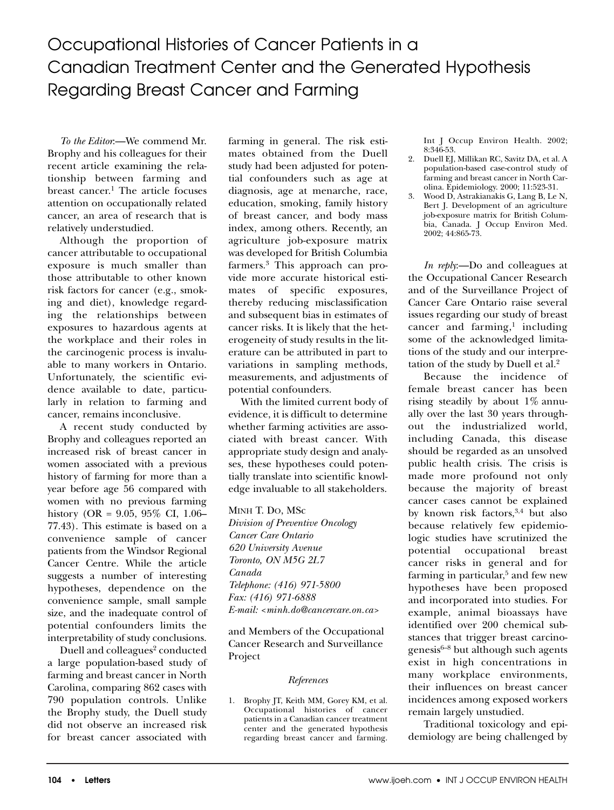*To the Editor*:—We commend Mr. Brophy and his colleagues for their recent article examining the relationship between farming and breast cancer.<sup>1</sup> The article focuses attention on occupationally related cancer, an area of research that is relatively understudied.

Although the proportion of cancer attributable to occupational exposure is much smaller than those attributable to other known risk factors for cancer (e.g., smoking and diet), knowledge regarding the relationships between exposures to hazardous agents at the workplace and their roles in the carcinogenic process is invaluable to many workers in Ontario. Unfortunately, the scientific evidence available to date, particularly in relation to farming and cancer, remains inconclusive.

A recent study conducted by Brophy and colleagues reported an increased risk of breast cancer in women associated with a previous history of farming for more than a year before age 56 compared with women with no previous farming history (OR = 9.05, 95% CI, 1.06– 77.43). This estimate is based on a convenience sample of cancer patients from the Windsor Regional Cancer Centre. While the article suggests a number of interesting hypotheses, dependence on the convenience sample, small sample size, and the inadequate control of potential confounders limits the interpretability of study conclusions.

Duell and colleagues<sup>2</sup> conducted a large population-based study of farming and breast cancer in North Carolina, comparing 862 cases with 790 population controls. Unlike the Brophy study, the Duell study did not observe an increased risk for breast cancer associated with farming in general. The risk estimates obtained from the Duell study had been adjusted for potential confounders such as age at diagnosis, age at menarche, race, education, smoking, family history of breast cancer, and body mass index, among others. Recently, an agriculture job-exposure matrix was developed for British Columbia farmers.3 This approach can provide more accurate historical estimates of specific exposures, thereby reducing misclassification and subsequent bias in estimates of cancer risks. It is likely that the heterogeneity of study results in the literature can be attributed in part to variations in sampling methods, measurements, and adjustments of potential confounders.

With the limited current body of evidence, it is difficult to determine whether farming activities are associated with breast cancer. With appropriate study design and analyses, these hypotheses could potentially translate into scientific knowledge invaluable to all stakeholders.

MINH T. DO, MSc

*Division of Preventive Oncology Cancer Care Ontario 620 University Avenue Toronto, ON M5G 2L7 Canada Telephone: (416) 971-5800 Fax: (416) 971-6888 E-mail: <minh.do@cancercare.on.ca>*

and Members of the Occupational Cancer Research and Surveillance Project

## *References*

1. Brophy JT, Keith MM, Gorey KM, et al. Occupational histories of cancer patients in a Canadian cancer treatment center and the generated hypothesis regarding breast cancer and farming. Int J Occup Environ Health. 2002; 8:346-53.

- 2. Duell EJ, Millikan RC, Savitz DA, et al. A population-based case-control study of farming and breast cancer in North Carolina. Epidemiology. 2000; 11:523-31.
- 3. Wood D, Astrakianakis G, Lang B, Le N, Bert J. Development of an agriculture job-exposure matrix for British Columbia, Canada. J Occup Environ Med. 2002; 44:865-73.

*In reply*:—Do and colleagues at the Occupational Cancer Research and of the Surveillance Project of Cancer Care Ontario raise several issues regarding our study of breast cancer and farming, $<sup>1</sup>$  including</sup> some of the acknowledged limitations of the study and our interpretation of the study by Duell et al.<sup>2</sup>

Because the incidence of female breast cancer has been rising steadily by about 1% annually over the last 30 years throughout the industrialized world, including Canada, this disease should be regarded as an unsolved public health crisis. The crisis is made more profound not only because the majority of breast cancer cases cannot be explained by known risk factors,<sup>3,4</sup> but also because relatively few epidemiologic studies have scrutinized the potential occupational breast cancer risks in general and for farming in particular, $5$  and few new hypotheses have been proposed and incorporated into studies. For example, animal bioassays have identified over 200 chemical substances that trigger breast carcino $g$ enesis<sup>6–8</sup> but although such agents exist in high concentrations in many workplace environments, their influences on breast cancer incidences among exposed workers remain largely unstudied.

Traditional toxicology and epidemiology are being challenged by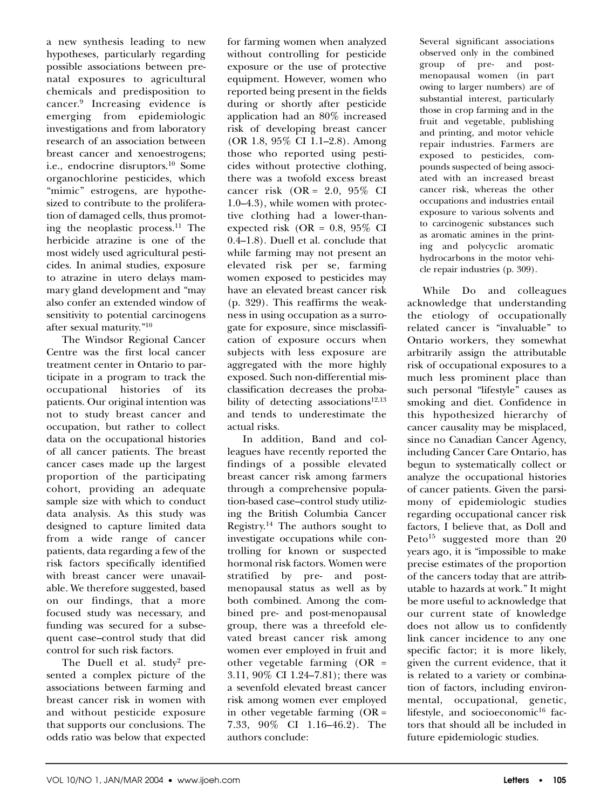a new synthesis leading to new hypotheses, particularly regarding possible associations between prenatal exposures to agricultural chemicals and predisposition to cancer.9 Increasing evidence is emerging from epidemiologic investigations and from laboratory research of an association between breast cancer and xenoestrogens; i.e., endocrine disruptors.<sup>10</sup> Some organochlorine pesticides, which "mimic" estrogens, are hypothesized to contribute to the proliferation of damaged cells, thus promoting the neoplastic process.11 The herbicide atrazine is one of the most widely used agricultural pesticides. In animal studies, exposure to atrazine in utero delays mammary gland development and "may also confer an extended window of sensitivity to potential carcinogens after sexual maturity."10

The Windsor Regional Cancer Centre was the first local cancer treatment center in Ontario to participate in a program to track the occupational histories of its patients. Our original intention was not to study breast cancer and occupation, but rather to collect data on the occupational histories of all cancer patients. The breast cancer cases made up the largest proportion of the participating cohort, providing an adequate sample size with which to conduct data analysis. As this study was designed to capture limited data from a wide range of cancer patients, data regarding a few of the risk factors specifically identified with breast cancer were unavailable. We therefore suggested, based on our findings, that a more focused study was necessary, and funding was secured for a subsequent case–control study that did control for such risk factors.

The Duell et al. study<sup>2</sup> presented a complex picture of the associations between farming and breast cancer risk in women with and without pesticide exposure that supports our conclusions. The odds ratio was below that expected for farming women when analyzed without controlling for pesticide exposure or the use of protective equipment. However, women who reported being present in the fields during or shortly after pesticide application had an 80% increased risk of developing breast cancer (OR 1.8, 95% CI 1.1–2.8). Among those who reported using pesticides without protective clothing, there was a twofold excess breast cancer risk (OR = 2.0, 95% CI 1.0–4.3), while women with protective clothing had a lower-thanexpected risk (OR =  $0.8$ ,  $95\%$  CI 0.4–1.8). Duell et al. conclude that while farming may not present an elevated risk per se, farming women exposed to pesticides may have an elevated breast cancer risk (p. 329). This reaffirms the weakness in using occupation as a surrogate for exposure, since misclassification of exposure occurs when subjects with less exposure are aggregated with the more highly exposed. Such non-differential misclassification decreases the probability of detecting associations<sup>12,13</sup> and tends to underestimate the actual risks.

In addition, Band and colleagues have recently reported the findings of a possible elevated breast cancer risk among farmers through a comprehensive population-based case–control study utilizing the British Columbia Cancer Registry.<sup>14</sup> The authors sought to investigate occupations while controlling for known or suspected hormonal risk factors. Women were stratified by pre- and postmenopausal status as well as by both combined. Among the combined pre- and post-menopausal group, there was a threefold elevated breast cancer risk among women ever employed in fruit and other vegetable farming (OR = 3.11, 90% CI 1.24–7.81); there was a sevenfold elevated breast cancer risk among women ever employed in other vegetable farming  $(OR =$ 7.33, 90% CI 1.16–46.2). The authors conclude:

Several significant associations observed only in the combined group of pre- and postmenopausal women (in part owing to larger numbers) are of substantial interest, particularly those in crop farming and in the fruit and vegetable, publishing and printing, and motor vehicle repair industries. Farmers are exposed to pesticides, compounds suspected of being associated with an increased breast cancer risk, whereas the other occupations and industries entail exposure to various solvents and to carcinogenic substances such as aromatic amines in the printing and polycyclic aromatic hydrocarbons in the motor vehicle repair industries (p. 309).

While Do and colleagues acknowledge that understanding the etiology of occupationally related cancer is "invaluable" to Ontario workers, they somewhat arbitrarily assign the attributable risk of occupational exposures to a much less prominent place than such personal "lifestyle" causes as smoking and diet. Confidence in this hypothesized hierarchy of cancer causality may be misplaced, since no Canadian Cancer Agency, including Cancer Care Ontario, has begun to systematically collect or analyze the occupational histories of cancer patients. Given the parsimony of epidemiologic studies regarding occupational cancer risk factors, I believe that, as Doll and Peto<sup>15</sup> suggested more than  $20$ years ago, it is "impossible to make precise estimates of the proportion of the cancers today that are attributable to hazards at work." It might be more useful to acknowledge that our current state of knowledge does not allow us to confidently link cancer incidence to any one specific factor; it is more likely, given the current evidence, that it is related to a variety or combination of factors, including environmental, occupational, genetic, lifestyle, and socioeconomic<sup>16</sup> factors that should all be included in future epidemiologic studies.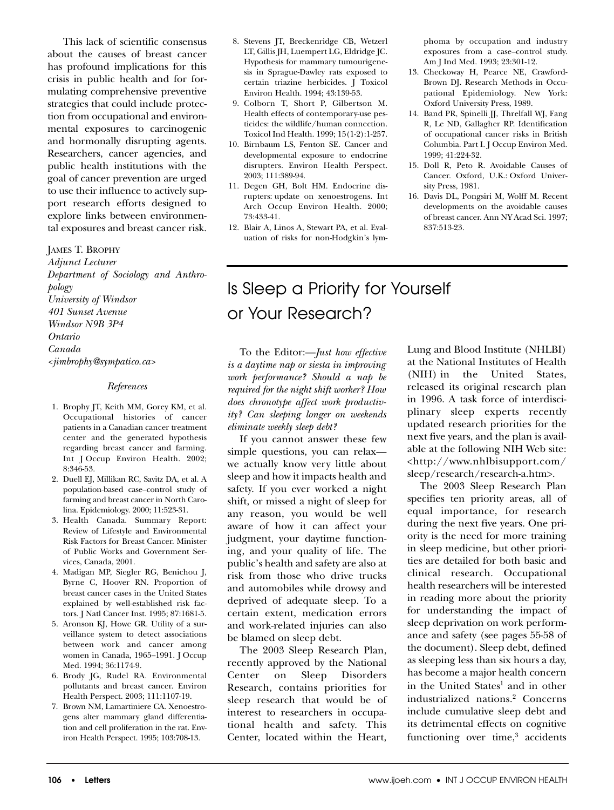This lack of scientific consensus about the causes of breast cancer has profound implications for this crisis in public health and for formulating comprehensive preventive strategies that could include protection from occupational and environmental exposures to carcinogenic and hormonally disrupting agents. Researchers, cancer agencies, and public health institutions with the goal of cancer prevention are urged to use their influence to actively support research efforts designed to explore links between environmental exposures and breast cancer risk.

#### JAMES T. BROPHY

*Adjunct Lecturer Department of Sociology and Anthropology University of Windsor 401 Sunset Avenue Windsor N9B 3P4 Ontario Canada <jimbrophy@sympatico.ca>*

#### *References*

- 1. Brophy JT, Keith MM, Gorey KM, et al. Occupational histories of cancer patients in a Canadian cancer treatment center and the generated hypothesis regarding breast cancer and farming. Int J Occup Environ Health. 2002; 8:346-53.
- 2. Duell EJ, Millikan RC, Savitz DA, et al. A population-based case–control study of farming and breast cancer in North Carolina. Epidemiology. 2000; 11:523-31.
- 3. Health Canada. Summary Report: Review of Lifestyle and Environmental Risk Factors for Breast Cancer. Minister of Public Works and Government Services, Canada, 2001.
- 4. Madigan MP, Siegler RG, Benichou J, Byrne C, Hoover RN. Proportion of breast cancer cases in the United States explained by well-established risk factors. J Natl Cancer Inst. 1995; 87:1681-5.
- 5. Aronson KJ, Howe GR. Utility of a surveillance system to detect associations between work and cancer among women in Canada, 1965–1991. J Occup Med. 1994; 36:1174-9.
- 6. Brody JG, Rudel RA. Environmental pollutants and breast cancer. Environ Health Perspect. 2003; 111:1107-19.
- 7. Brown NM, Lamartiniere CA. Xenoestrogens alter mammary gland differentiation and cell proliferation in the rat. Environ Health Perspect. 1995; 103:708-13.
- 8. Stevens JT, Breckenridge CB, Wetzerl LT, Gillis JH, Luempert LG, Eldridge JC. Hypothesis for mammary tumourigenesis in Sprague-Dawley rats exposed to certain triazine herbicides. J Toxicol Environ Health. 1994; 43:139-53.
- 9. Colborn T, Short P, Gilbertson M. Health effects of contemporary-use pesticides: the wildlife/human connection. Toxicol Ind Health. 1999; 15(1-2):1-257.
- 10. Birnbaum LS, Fenton SE. Cancer and developmental exposure to endocrine disrupters. Environ Health Perspect. 2003; 111:389-94.
- 11. Degen GH, Bolt HM. Endocrine disrupters: update on xenoestrogens. Int Arch Occup Environ Health. 2000; 73:433-41.
- 12. Blair A, Linos A, Stewart PA, et al. Evaluation of risks for non-Hodgkin's lym-

phoma by occupation and industry exposures from a case–control study. Am J Ind Med. 1993; 23:301-12.

- 13. Checkoway H, Pearce NE, Crawford-Brown DJ. Research Methods in Occupational Epidemiology. New York: Oxford University Press, 1989.
- 14. Band PR, Spinelli JJ, Threlfall WJ, Fang R, Le ND, Gallagher RP. Identification of occupational cancer risks in British Columbia. Part I. J Occup Environ Med. 1999; 41:224-32.
- 15. Doll R, Peto R. Avoidable Causes of Cancer. Oxford, U.K.: Oxford University Press, 1981.
- 16. Davis DL, Pongsiri M, Wolff M. Recent developments on the avoidable causes of breast cancer. Ann NY Acad Sci. 1997; 837:513-23.

# Is Sleep a Priority for Yourself or Your Research?

To the Editor:—*Just how effective is a daytime nap or siesta in improving work performance? Should a nap be required for the night shift worker? How does chronotype affect work productivity? Can sleeping longer on weekends eliminate weekly sleep debt?*

If you cannot answer these few simple questions, you can relax we actually know very little about sleep and how it impacts health and safety. If you ever worked a night shift, or missed a night of sleep for any reason, you would be well aware of how it can affect your judgment, your daytime functioning, and your quality of life. The public's health and safety are also at risk from those who drive trucks and automobiles while drowsy and deprived of adequate sleep. To a certain extent, medication errors and work-related injuries can also be blamed on sleep debt.

The 2003 Sleep Research Plan, recently approved by the National Center on Sleep Disorders Research, contains priorities for sleep research that would be of interest to researchers in occupational health and safety. This Center, located within the Heart,

Lung and Blood Institute (NHLBI) at the National Institutes of Health (NIH) in the United States, released its original research plan in 1996. A task force of interdisciplinary sleep experts recently updated research priorities for the next five years, and the plan is available at the following NIH Web site: <http://www.nhlbisupport.com/ sleep/research/research-a.htm>.

The 2003 Sleep Research Plan specifies ten priority areas, all of equal importance, for research during the next five years. One priority is the need for more training in sleep medicine, but other priorities are detailed for both basic and clinical research. Occupational health researchers will be interested in reading more about the priority for understanding the impact of sleep deprivation on work performance and safety (see pages 55-58 of the document). Sleep debt, defined as sleeping less than six hours a day, has become a major health concern in the United States<sup>1</sup> and in other industrialized nations.2 Concerns include cumulative sleep debt and its detrimental effects on cognitive functioning over time, $3$  accidents